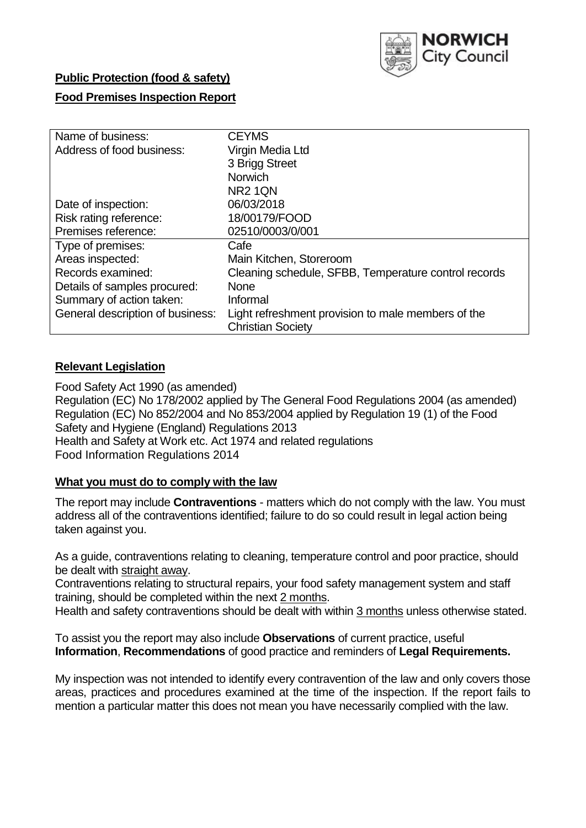

## **Public Protection (food & safety)**

#### **Food Premises Inspection Report**

| Name of business:                | <b>CEYMS</b>                                         |
|----------------------------------|------------------------------------------------------|
| Address of food business:        | Virgin Media Ltd                                     |
|                                  | 3 Brigg Street                                       |
|                                  | <b>Norwich</b>                                       |
|                                  | NR <sub>2</sub> 1QN                                  |
| Date of inspection:              | 06/03/2018                                           |
| Risk rating reference:           | 18/00179/FOOD                                        |
| Premises reference:              | 02510/0003/0/001                                     |
| Type of premises:                | Cafe                                                 |
| Areas inspected:                 | Main Kitchen, Storeroom                              |
| Records examined:                | Cleaning schedule, SFBB, Temperature control records |
| Details of samples procured:     | <b>None</b>                                          |
| Summary of action taken:         | Informal                                             |
| General description of business: | Light refreshment provision to male members of the   |
|                                  | <b>Christian Society</b>                             |

## **Relevant Legislation**

Food Safety Act 1990 (as amended) Regulation (EC) No 178/2002 applied by The General Food Regulations 2004 (as amended) Regulation (EC) No 852/2004 and No 853/2004 applied by Regulation 19 (1) of the Food Safety and Hygiene (England) Regulations 2013 Health and Safety at Work etc. Act 1974 and related regulations Food Information Regulations 2014

## **What you must do to comply with the law**

The report may include **Contraventions** - matters which do not comply with the law. You must address all of the contraventions identified; failure to do so could result in legal action being taken against you.

As a guide, contraventions relating to cleaning, temperature control and poor practice, should be dealt with straight away.

Contraventions relating to structural repairs, your food safety management system and staff training, should be completed within the next 2 months.

Health and safety contraventions should be dealt with within 3 months unless otherwise stated.

To assist you the report may also include **Observations** of current practice, useful **Information**, **Recommendations** of good practice and reminders of **Legal Requirements.**

My inspection was not intended to identify every contravention of the law and only covers those areas, practices and procedures examined at the time of the inspection. If the report fails to mention a particular matter this does not mean you have necessarily complied with the law.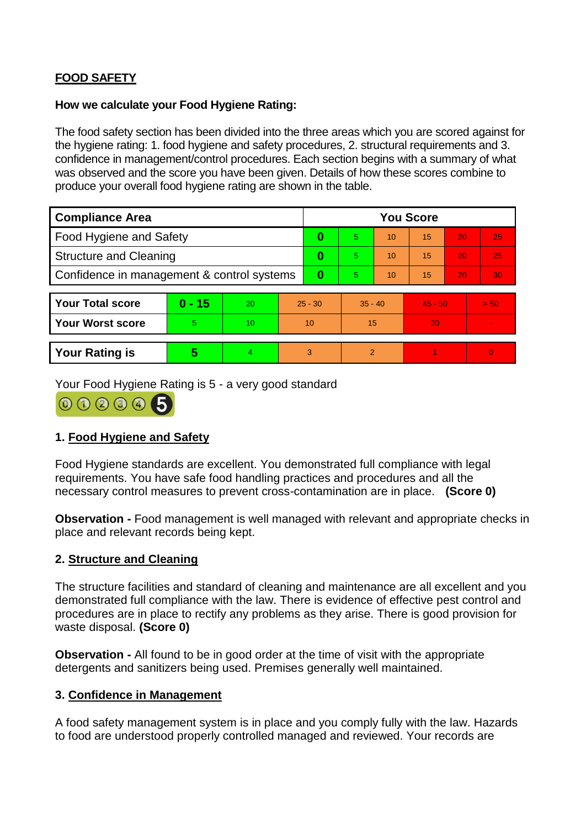# **FOOD SAFETY**

## **How we calculate your Food Hygiene Rating:**

The food safety section has been divided into the three areas which you are scored against for the hygiene rating: 1. food hygiene and safety procedures, 2. structural requirements and 3. confidence in management/control procedures. Each section begins with a summary of what was observed and the score you have been given. Details of how these scores combine to produce your overall food hygiene rating are shown in the table.

| <b>Compliance Area</b>                     |          |                  |           | <b>You Score</b> |                |    |           |    |                |  |  |
|--------------------------------------------|----------|------------------|-----------|------------------|----------------|----|-----------|----|----------------|--|--|
| Food Hygiene and Safety                    |          |                  |           | 0                | 5              | 10 | 15        | 20 | 25             |  |  |
| <b>Structure and Cleaning</b>              |          |                  |           | 0                | 5              | 10 | 15        | 20 | 25             |  |  |
| Confidence in management & control systems |          |                  | $\bf{0}$  | 5.               | 10             | 15 | 20        | 30 |                |  |  |
|                                            |          |                  |           |                  |                |    |           |    |                |  |  |
| <b>Your Total score</b>                    | $0 - 15$ | 20               | $25 - 30$ |                  | $35 - 40$      |    | $45 - 50$ |    | > 50           |  |  |
| <b>Your Worst score</b>                    | 5        | 10 <sup>10</sup> | 10        |                  | 15             |    | 20        |    | $\blacksquare$ |  |  |
|                                            |          |                  |           |                  |                |    |           |    |                |  |  |
| <b>Your Rating is</b>                      | 5        | $\overline{4}$   | 3         |                  | $\overline{2}$ |    |           |    | $\overline{0}$ |  |  |

Your Food Hygiene Rating is 5 - a very good standard



# **1. Food Hygiene and Safety**

Food Hygiene standards are excellent. You demonstrated full compliance with legal requirements. You have safe food handling practices and procedures and all the necessary control measures to prevent cross-contamination are in place. **(Score 0)**

**Observation -** Food management is well managed with relevant and appropriate checks in place and relevant records being kept.

## **2. Structure and Cleaning**

The structure facilities and standard of cleaning and maintenance are all excellent and you demonstrated full compliance with the law. There is evidence of effective pest control and procedures are in place to rectify any problems as they arise. There is good provision for waste disposal. **(Score 0)**

**Observation -** All found to be in good order at the time of visit with the appropriate detergents and sanitizers being used. Premises generally well maintained.

## **3. Confidence in Management**

A food safety management system is in place and you comply fully with the law. Hazards to food are understood properly controlled managed and reviewed. Your records are